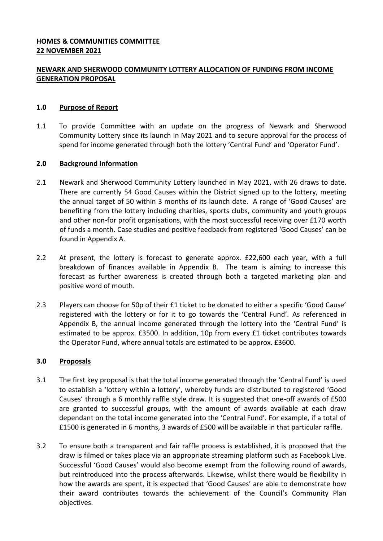## **NEWARK AND SHERWOOD COMMUNITY LOTTERY ALLOCATION OF FUNDING FROM INCOME GENERATION PROPOSAL**

#### **1.0 Purpose of Report**

1.1 To provide Committee with an update on the progress of Newark and Sherwood Community Lottery since its launch in May 2021 and to secure approval for the process of spend for income generated through both the lottery 'Central Fund' and 'Operator Fund'.

#### **2.0 Background Information**

- 2.1 Newark and Sherwood Community Lottery launched in May 2021, with 26 draws to date. There are currently 54 Good Causes within the District signed up to the lottery, meeting the annual target of 50 within 3 months of its launch date. A range of 'Good Causes' are benefiting from the lottery including charities, sports clubs, community and youth groups and other non-for profit organisations, with the most successful receiving over £170 worth of funds a month. Case studies and positive feedback from registered 'Good Causes' can be found in Appendix A.
- 2.2 At present, the lottery is forecast to generate approx. £22,600 each year, with a full breakdown of finances available in Appendix B. The team is aiming to increase this forecast as further awareness is created through both a targeted marketing plan and positive word of mouth.
- 2.3 Players can choose for 50p of their £1 ticket to be donated to either a specific 'Good Cause' registered with the lottery or for it to go towards the 'Central Fund'. As referenced in Appendix B, the annual income generated through the lottery into the 'Central Fund' is estimated to be approx. £3500. In addition, 10p from every £1 ticket contributes towards the Operator Fund, where annual totals are estimated to be approx. £3600.

#### **3.0 Proposals**

- 3.1 The first key proposal is that the total income generated through the 'Central Fund' is used to establish a 'lottery within a lottery', whereby funds are distributed to registered 'Good Causes' through a 6 monthly raffle style draw. It is suggested that one-off awards of £500 are granted to successful groups, with the amount of awards available at each draw dependant on the total income generated into the 'Central Fund'. For example, if a total of £1500 is generated in 6 months, 3 awards of £500 will be available in that particular raffle.
- 3.2 To ensure both a transparent and fair raffle process is established, it is proposed that the draw is filmed or takes place via an appropriate streaming platform such as Facebook Live. Successful 'Good Causes' would also become exempt from the following round of awards, but reintroduced into the process afterwards. Likewise, whilst there would be flexibility in how the awards are spent, it is expected that 'Good Causes' are able to demonstrate how their award contributes towards the achievement of the Council's Community Plan objectives.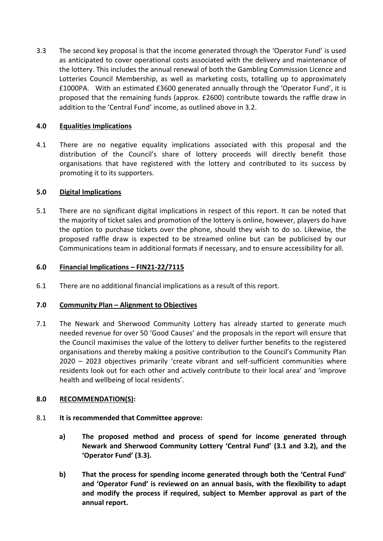3.3 The second key proposal is that the income generated through the 'Operator Fund' is used as anticipated to cover operational costs associated with the delivery and maintenance of the lottery. This includes the annual renewal of both the Gambling Commission Licence and Lotteries Council Membership, as well as marketing costs, totalling up to approximately £1000PA. With an estimated £3600 generated annually through the 'Operator Fund', it is proposed that the remaining funds (approx. £2600) contribute towards the raffle draw in addition to the 'Central Fund' income, as outlined above in 3.2.

## **4.0 Equalities Implications**

4.1 There are no negative equality implications associated with this proposal and the distribution of the Council's share of lottery proceeds will directly benefit those organisations that have registered with the lottery and contributed to its success by promoting it to its supporters.

### **5.0 Digital Implications**

5.1 There are no significant digital implications in respect of this report. It can be noted that the majority of ticket sales and promotion of the lottery is online, however, players do have the option to purchase tickets over the phone, should they wish to do so. Likewise, the proposed raffle draw is expected to be streamed online but can be publicised by our Communications team in additional formats if necessary, and to ensure accessibility for all.

### **6.0 Financial Implications – FIN21-22/7115**

6.1 There are no additional financial implications as a result of this report.

### **7.0 Community Plan – Alignment to Objectives**

7.1 The Newark and Sherwood Community Lottery has already started to generate much needed revenue for over 50 'Good Causes' and the proposals in the report will ensure that the Council maximises the value of the lottery to deliver further benefits to the registered organisations and thereby making a positive contribution to the Council's Community Plan 2020 – 2023 objectives primarily 'create vibrant and self-sufficient communities where residents look out for each other and actively contribute to their local area' and 'improve health and wellbeing of local residents'.

## **8.0 RECOMMENDATION(S):**

- 8.1 **It is recommended that Committee approve:**
	- **a) The proposed method and process of spend for income generated through Newark and Sherwood Community Lottery 'Central Fund' (3.1 and 3.2), and the 'Operator Fund' (3.3).**
	- **b) That the process for spending income generated through both the 'Central Fund' and 'Operator Fund' is reviewed on an annual basis, with the flexibility to adapt and modify the process if required, subject to Member approval as part of the annual report.**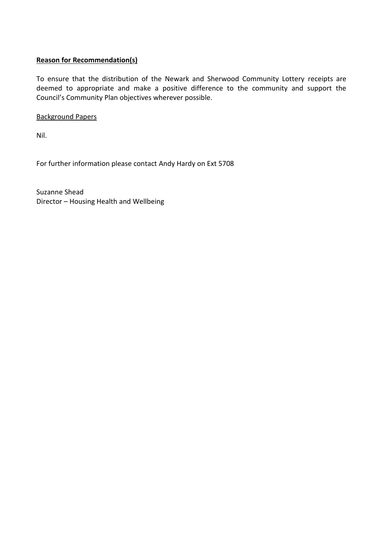#### **Reason for Recommendation(s)**

To ensure that the distribution of the Newark and Sherwood Community Lottery receipts are deemed to appropriate and make a positive difference to the community and support the Council's Community Plan objectives wherever possible.

#### Background Papers

Nil.

For further information please contact Andy Hardy on Ext 5708

Suzanne Shead Director – Housing Health and Wellbeing